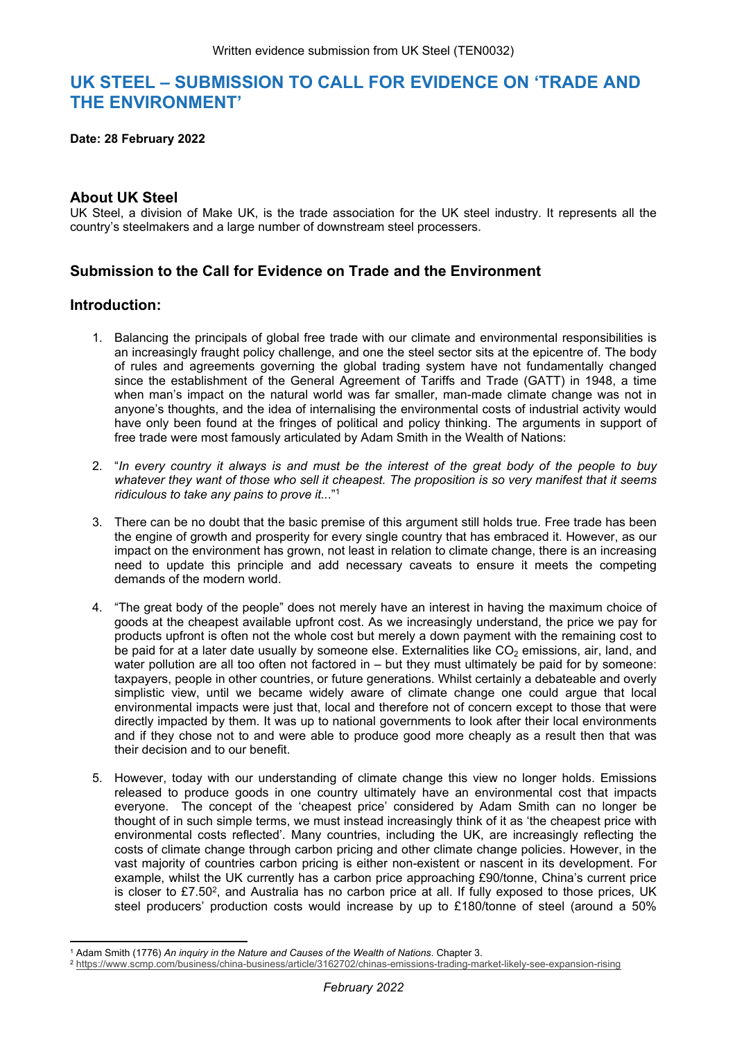# **UK STEEL – SUBMISSION TO CALL FOR EVIDENCE ON 'TRADE AND THE ENVIRONMENT'**

**Date: 28 February 2022**

## **About UK Steel**

UK Steel, a division of Make UK, is the trade association for the UK steel industry. It represents all the country's steelmakers and a large number of downstream steel processers.

# **Submission to the Call for Evidence on Trade and the Environment**

### **Introduction:**

- 1. Balancing the principals of global free trade with our climate and environmental responsibilities is an increasingly fraught policy challenge, and one the steel sector sits at the epicentre of. The body of rules and agreements governing the global trading system have not fundamentally changed since the establishment of the General Agreement of Tariffs and Trade (GATT) in 1948, a time when man's impact on the natural world was far smaller, man-made climate change was not in anyone's thoughts, and the idea of internalising the environmental costs of industrial activity would have only been found at the fringes of political and policy thinking. The arguments in support of free trade were most famously articulated by Adam Smith in the Wealth of Nations:
- 2. "In every country it always is and must be the interest of the great body of the people to buy whatever they want of those who sell it cheapest. The proposition is so very manifest that it seems *ridiculous to take any pains to prove it..*."<sup>1</sup>
- 3. There can be no doubt that the basic premise of this argument still holds true. Free trade has been the engine of growth and prosperity for every single country that has embraced it. However, as our impact on the environment has grown, not least in relation to climate change, there is an increasing need to update this principle and add necessary caveats to ensure it meets the competing demands of the modern world.
- 4. "The great body of the people" does not merely have an interest in having the maximum choice of goods at the cheapest available upfront cost. As we increasingly understand, the price we pay for products upfront is often not the whole cost but merely a down payment with the remaining cost to be paid for at a later date usually by someone else. Externalities like  $CO<sub>2</sub>$  emissions, air, land, and water pollution are all too often not factored in – but they must ultimately be paid for by someone: taxpayers, people in other countries, or future generations. Whilst certainly a debateable and overly simplistic view, until we became widely aware of climate change one could argue that local environmental impacts were just that, local and therefore not of concern except to those that were directly impacted by them. It was up to national governments to look after their local environments and if they chose not to and were able to produce good more cheaply as a result then that was their decision and to our benefit.
- 5. However, today with our understanding of climate change this view no longer holds. Emissions released to produce goods in one country ultimately have an environmental cost that impacts everyone. The concept of the 'cheapest price' considered by Adam Smith can no longer be thought of in such simple terms, we must instead increasingly think of it as 'the cheapest price with environmental costs reflected'. Many countries, including the UK, are increasingly reflecting the costs of climate change through carbon pricing and other climate change policies. However, in the vast majority of countries carbon pricing is either non-existent or nascent in its development. For example, whilst the UK currently has a carbon price approaching £90/tonne, China's current price is closer to £7.50<sup>2</sup>, and Australia has no carbon price at all. If fully exposed to those prices, UK steel producers' production costs would increase by up to £180/tonne of steel (around a 50%

<sup>1</sup> Adam Smith (1776) *An inquiry in the Nature and Causes of the Wealth of Nations*. Chapter 3.

<sup>2</sup> <https://www.scmp.com/business/china-business/article/3162702/chinas-emissions-trading-market-likely-see-expansion-rising>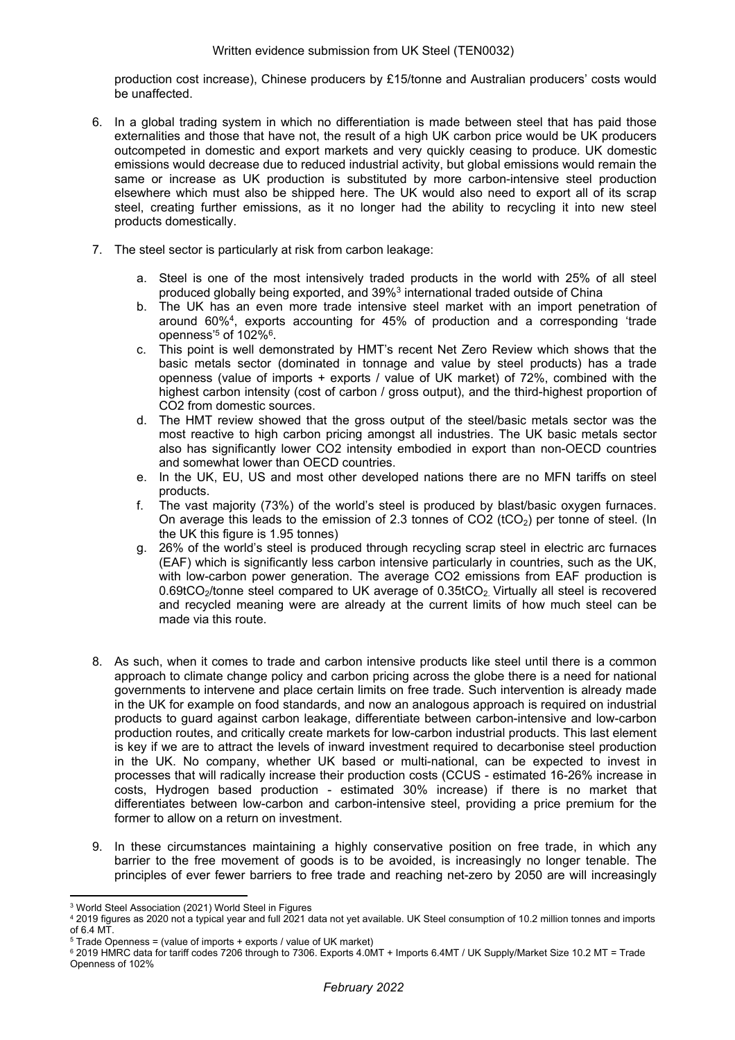production cost increase), Chinese producers by £15/tonne and Australian producers' costs would be unaffected.

- 6. In a global trading system in which no differentiation is made between steel that has paid those externalities and those that have not, the result of a high UK carbon price would be UK producers outcompeted in domestic and export markets and very quickly ceasing to produce. UK domestic emissions would decrease due to reduced industrial activity, but global emissions would remain the same or increase as UK production is substituted by more carbon-intensive steel production elsewhere which must also be shipped here. The UK would also need to export all of its scrap steel, creating further emissions, as it no longer had the ability to recycling it into new steel products domestically.
- 7. The steel sector is particularly at risk from carbon leakage:
	- a. Steel is one of the most intensively traded products in the world with 25% of all steel produced globally being exported, and 39%<sup>3</sup> international traded outside of China
	- b. The UK has an even more trade intensive steel market with an import penetration of around 60%<sup>4</sup> , exports accounting for 45% of production and a corresponding 'trade openness' $5$  of 102% $^6$ .
	- c. This point is well demonstrated by HMT's recent Net Zero Review which shows that the basic metals sector (dominated in tonnage and value by steel products) has a trade openness (value of imports + exports / value of UK market) of 72%, combined with the highest carbon intensity (cost of carbon / gross output), and the third-highest proportion of CO2 from domestic sources.
	- d. The HMT review showed that the gross output of the steel/basic metals sector was the most reactive to high carbon pricing amongst all industries. The UK basic metals sector also has significantly lower CO2 intensity embodied in export than non-OECD countries and somewhat lower than OECD countries.
	- e. In the UK, EU, US and most other developed nations there are no MFN tariffs on steel products.
	- f. The vast majority (73%) of the world's steel is produced by blast/basic oxygen furnaces. On average this leads to the emission of 2.3 tonnes of CO2 ( $tCO<sub>2</sub>$ ) per tonne of steel. (In the UK this figure is 1.95 tonnes)
	- g. 26% of the world's steel is produced through recycling scrap steel in electric arc furnaces (EAF) which is significantly less carbon intensive particularly in countries, such as the UK, with low-carbon power generation. The average CO2 emissions from EAF production is 0.69tCO<sub>2</sub>/tonne steel compared to UK average of 0.35tCO<sub>2</sub>. Virtually all steel is recovered and recycled meaning were are already at the current limits of how much steel can be made via this route.
- 8. As such, when it comes to trade and carbon intensive products like steel until there is a common approach to climate change policy and carbon pricing across the globe there is a need for national governments to intervene and place certain limits on free trade. Such intervention is already made in the UK for example on food standards, and now an analogous approach is required on industrial products to guard against carbon leakage, differentiate between carbon-intensive and low-carbon production routes, and critically create markets for low-carbon industrial products. This last element is key if we are to attract the levels of inward investment required to decarbonise steel production in the UK. No company, whether UK based or multi-national, can be expected to invest in processes that will radically increase their production costs (CCUS - estimated 16-26% increase in costs, Hydrogen based production - estimated 30% increase) if there is no market that differentiates between low-carbon and carbon-intensive steel, providing a price premium for the former to allow on a return on investment.
- 9. In these circumstances maintaining a highly conservative position on free trade, in which any barrier to the free movement of goods is to be avoided, is increasingly no longer tenable. The principles of ever fewer barriers to free trade and reaching net-zero by 2050 are will increasingly

<sup>3</sup> World Steel Association (2021) World Steel in Figures

<sup>4</sup> 2019 figures as 2020 not a typical year and full 2021 data not yet available. UK Steel consumption of 10.2 million tonnes and imports  $of 6.4 M<sub>T</sub>$ 

 $5$  Trade Openness = (value of imports + exports / value of UK market)

<sup>6</sup> 2019 HMRC data for tariff codes 7206 through to 7306. Exports 4.0MT + Imports 6.4MT / UK Supply/Market Size 10.2 MT = Trade Openness of 102%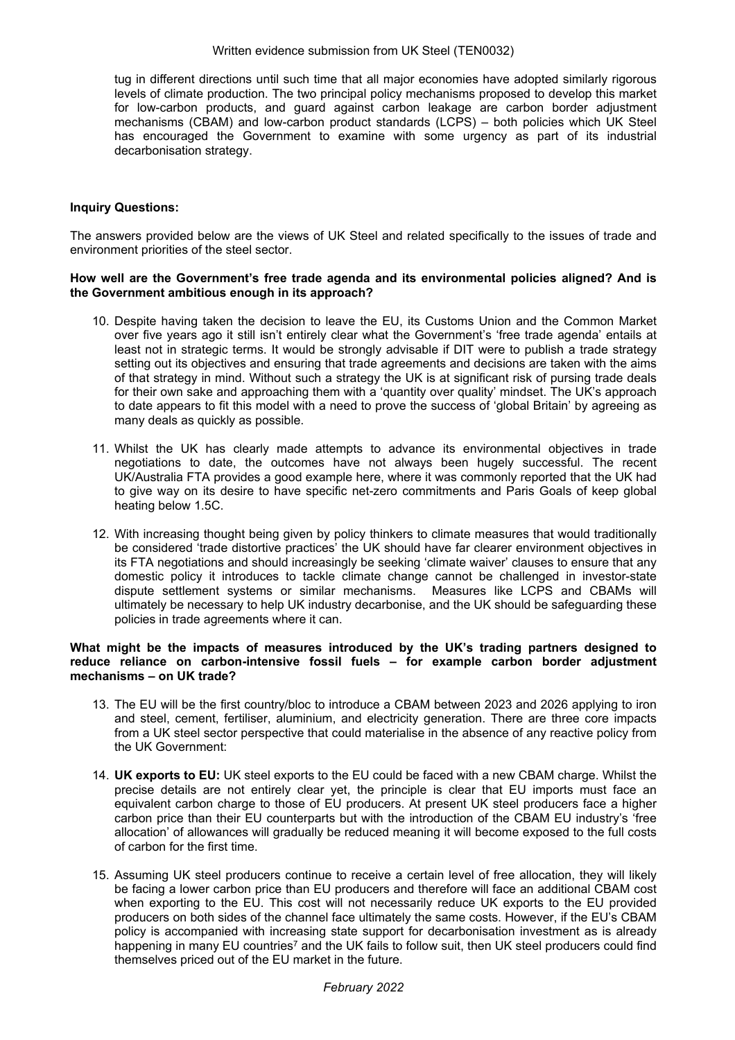tug in different directions until such time that all major economies have adopted similarly rigorous levels of climate production. The two principal policy mechanisms proposed to develop this market for low-carbon products, and guard against carbon leakage are carbon border adjustment mechanisms (CBAM) and low-carbon product standards (LCPS) – both policies which UK Steel has encouraged the Government to examine with some urgency as part of its industrial decarbonisation strategy.

#### **Inquiry Questions:**

The answers provided below are the views of UK Steel and related specifically to the issues of trade and environment priorities of the steel sector.

#### **How well are the Government's free trade agenda and its environmental policies aligned? And is the Government ambitious enough in its approach?**

- 10. Despite having taken the decision to leave the EU, its Customs Union and the Common Market over five years ago it still isn't entirely clear what the Government's 'free trade agenda' entails at least not in strategic terms. It would be strongly advisable if DIT were to publish a trade strategy setting out its objectives and ensuring that trade agreements and decisions are taken with the aims of that strategy in mind. Without such a strategy the UK is at significant risk of pursing trade deals for their own sake and approaching them with a 'quantity over quality' mindset. The UK's approach to date appears to fit this model with a need to prove the success of 'global Britain' by agreeing as many deals as quickly as possible.
- 11. Whilst the UK has clearly made attempts to advance its environmental objectives in trade negotiations to date, the outcomes have not always been hugely successful. The recent UK/Australia FTA provides a good example here, where it was commonly reported that the UK had to give way on its desire to have specific net-zero commitments and Paris Goals of keep global heating below 1.5C.
- 12. With increasing thought being given by policy thinkers to climate measures that would traditionally be considered 'trade distortive practices' the UK should have far clearer environment objectives in its FTA negotiations and should increasingly be seeking 'climate waiver' clauses to ensure that any domestic policy it introduces to tackle climate change cannot be challenged in investor-state dispute settlement systems or similar mechanisms. Measures like LCPS and CBAMs will ultimately be necessary to help UK industry decarbonise, and the UK should be safeguarding these policies in trade agreements where it can.

#### **What might be the impacts of measures introduced by the UK's trading partners designed to reduce reliance on carbon-intensive fossil fuels – for example carbon border adjustment mechanisms – on UK trade?**

- 13. The EU will be the first country/bloc to introduce a CBAM between 2023 and 2026 applying to iron and steel, cement, fertiliser, aluminium, and electricity generation. There are three core impacts from a UK steel sector perspective that could materialise in the absence of any reactive policy from the UK Government:
- 14. **UK exports to EU:** UK steel exports to the EU could be faced with a new CBAM charge. Whilst the precise details are not entirely clear yet, the principle is clear that EU imports must face an equivalent carbon charge to those of EU producers. At present UK steel producers face a higher carbon price than their EU counterparts but with the introduction of the CBAM EU industry's 'free allocation' of allowances will gradually be reduced meaning it will become exposed to the full costs of carbon for the first time.
- 15. Assuming UK steel producers continue to receive a certain level of free allocation, they will likely be facing a lower carbon price than EU producers and therefore will face an additional CBAM cost when exporting to the EU. This cost will not necessarily reduce UK exports to the EU provided producers on both sides of the channel face ultimately the same costs. However, if the EU's CBAM policy is accompanied with increasing state support for decarbonisation investment as is already happening in many EU countries<sup>7</sup> and the UK fails to follow suit, then UK steel producers could find themselves priced out of the EU market in the future.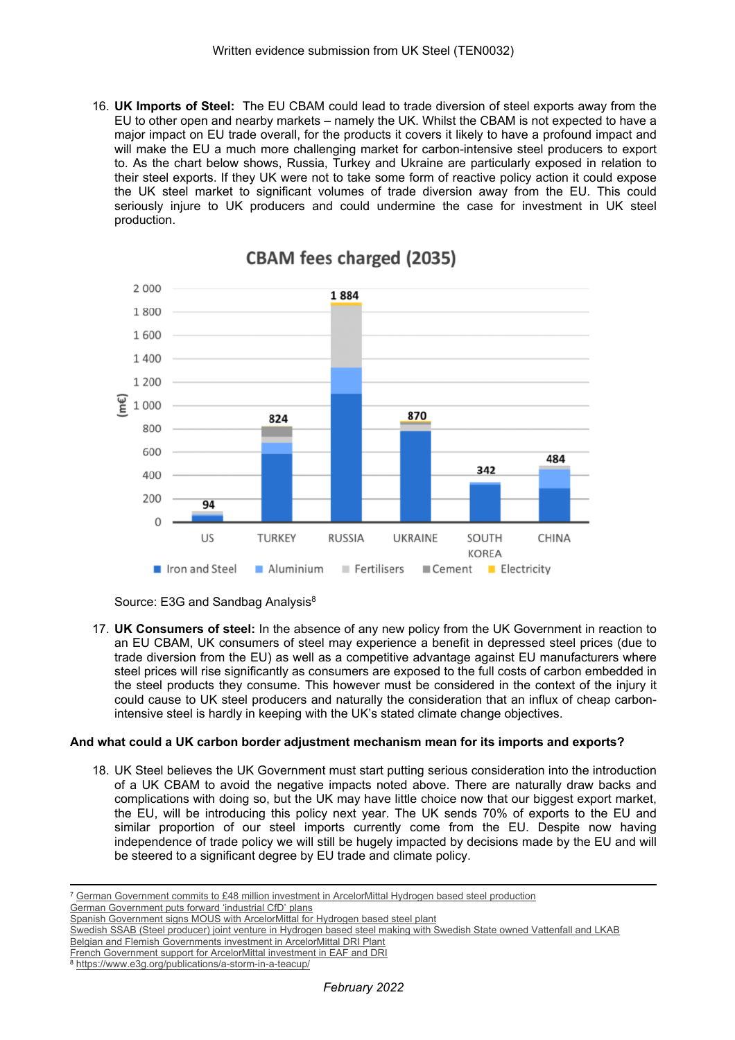16. **UK Imports of Steel:** The EU CBAM could lead to trade diversion of steel exports away from the EU to other open and nearby markets – namely the UK. Whilst the CBAM is not expected to have a major impact on EU trade overall, for the products it covers it likely to have a profound impact and will make the EU a much more challenging market for carbon-intensive steel producers to export to. As the chart below shows, Russia, Turkey and Ukraine are particularly exposed in relation to their steel exports. If they UK were not to take some form of reactive policy action it could expose the UK steel market to significant volumes of trade diversion away from the EU. This could seriously injure to UK producers and could undermine the case for investment in UK steel production.



# **CBAM fees charged (2035)**



17. **UK Consumers of steel:** In the absence of any new policy from the UK Government in reaction to an EU CBAM, UK consumers of steel may experience a benefit in depressed steel prices (due to trade diversion from the EU) as well as a competitive advantage against EU manufacturers where steel prices will rise significantly as consumers are exposed to the full costs of carbon embedded in the steel products they consume. This however must be considered in the context of the injury it could cause to UK steel producers and naturally the consideration that an influx of cheap carbonintensive steel is hardly in keeping with the UK's stated climate change objectives.

#### **And what could a UK carbon border adjustment mechanism mean for its imports and exports?**

18. UK Steel believes the UK Government must start putting serious consideration into the introduction of a UK CBAM to avoid the negative impacts noted above. There are naturally draw backs and complications with doing so, but the UK may have little choice now that our biggest export market, the EU, will be introducing this policy next year. The UK sends 70% of exports to the EU and similar proportion of our steel imports currently come from the EU. Despite now having independence of trade policy we will still be hugely impacted by decisions made by the EU and will be steered to a significant degree by EU trade and climate policy.

[German](https://corporate.arcelormittal.com/media/news-articles/german-federal-government-commits-its-intention-to-provide-55-million-of-funding-for-arcelormittal-s-hydrogen-dri-plant) [Government](https://corporate.arcelormittal.com/media/news-articles/german-federal-government-commits-its-intention-to-provide-55-million-of-funding-for-arcelormittal-s-hydrogen-dri-plant) [commits](https://corporate.arcelormittal.com/media/news-articles/german-federal-government-commits-its-intention-to-provide-55-million-of-funding-for-arcelormittal-s-hydrogen-dri-plant) [to](https://corporate.arcelormittal.com/media/news-articles/german-federal-government-commits-its-intention-to-provide-55-million-of-funding-for-arcelormittal-s-hydrogen-dri-plant) [£48](https://corporate.arcelormittal.com/media/news-articles/german-federal-government-commits-its-intention-to-provide-55-million-of-funding-for-arcelormittal-s-hydrogen-dri-plant) [million](https://corporate.arcelormittal.com/media/news-articles/german-federal-government-commits-its-intention-to-provide-55-million-of-funding-for-arcelormittal-s-hydrogen-dri-plant) [investment](https://corporate.arcelormittal.com/media/news-articles/german-federal-government-commits-its-intention-to-provide-55-million-of-funding-for-arcelormittal-s-hydrogen-dri-plant) [in](https://corporate.arcelormittal.com/media/news-articles/german-federal-government-commits-its-intention-to-provide-55-million-of-funding-for-arcelormittal-s-hydrogen-dri-plant) [ArcelorMittal](https://corporate.arcelormittal.com/media/news-articles/german-federal-government-commits-its-intention-to-provide-55-million-of-funding-for-arcelormittal-s-hydrogen-dri-plant) [Hydrogen](https://corporate.arcelormittal.com/media/news-articles/german-federal-government-commits-its-intention-to-provide-55-million-of-funding-for-arcelormittal-s-hydrogen-dri-plant) [based](https://corporate.arcelormittal.com/media/news-articles/german-federal-government-commits-its-intention-to-provide-55-million-of-funding-for-arcelormittal-s-hydrogen-dri-plant) [steel](https://corporate.arcelormittal.com/media/news-articles/german-federal-government-commits-its-intention-to-provide-55-million-of-funding-for-arcelormittal-s-hydrogen-dri-plant) [production](https://corporate.arcelormittal.com/media/news-articles/german-federal-government-commits-its-intention-to-provide-55-million-of-funding-for-arcelormittal-s-hydrogen-dri-plant) [German](https://www.reuters.com/business/sustainable-business/exclusive-german-government-proposes-green-funding-tool-help-industry-cut-co2-2021-04-30/) [Government](https://www.reuters.com/business/sustainable-business/exclusive-german-government-proposes-green-funding-tool-help-industry-cut-co2-2021-04-30/) [puts](https://www.reuters.com/business/sustainable-business/exclusive-german-government-proposes-green-funding-tool-help-industry-cut-co2-2021-04-30/) [forward](https://www.reuters.com/business/sustainable-business/exclusive-german-government-proposes-green-funding-tool-help-industry-cut-co2-2021-04-30/) ['industrial](https://www.reuters.com/business/sustainable-business/exclusive-german-government-proposes-green-funding-tool-help-industry-cut-co2-2021-04-30/) [CfD'](https://www.reuters.com/business/sustainable-business/exclusive-german-government-proposes-green-funding-tool-help-industry-cut-co2-2021-04-30/) [plans](https://www.reuters.com/business/sustainable-business/exclusive-german-government-proposes-green-funding-tool-help-industry-cut-co2-2021-04-30/)

[Spanish](https://corporate.arcelormittal.com/media/press-releases/arcelormittal-signs-mou-with-the-spanish-government-supporting-1-billion-investment-in-decarbonisation-technologies) [Government](https://corporate.arcelormittal.com/media/press-releases/arcelormittal-signs-mou-with-the-spanish-government-supporting-1-billion-investment-in-decarbonisation-technologies) [signs](https://corporate.arcelormittal.com/media/press-releases/arcelormittal-signs-mou-with-the-spanish-government-supporting-1-billion-investment-in-decarbonisation-technologies) [MOUS](https://corporate.arcelormittal.com/media/press-releases/arcelormittal-signs-mou-with-the-spanish-government-supporting-1-billion-investment-in-decarbonisation-technologies) [with](https://corporate.arcelormittal.com/media/press-releases/arcelormittal-signs-mou-with-the-spanish-government-supporting-1-billion-investment-in-decarbonisation-technologies) [ArcelorMittal](https://corporate.arcelormittal.com/media/press-releases/arcelormittal-signs-mou-with-the-spanish-government-supporting-1-billion-investment-in-decarbonisation-technologies) [for](https://corporate.arcelormittal.com/media/press-releases/arcelormittal-signs-mou-with-the-spanish-government-supporting-1-billion-investment-in-decarbonisation-technologies) [Hydrogen](https://corporate.arcelormittal.com/media/press-releases/arcelormittal-signs-mou-with-the-spanish-government-supporting-1-billion-investment-in-decarbonisation-technologies) [based](https://corporate.arcelormittal.com/media/press-releases/arcelormittal-signs-mou-with-the-spanish-government-supporting-1-billion-investment-in-decarbonisation-technologies) [steel](https://corporate.arcelormittal.com/media/press-releases/arcelormittal-signs-mou-with-the-spanish-government-supporting-1-billion-investment-in-decarbonisation-technologies) [plant](https://corporate.arcelormittal.com/media/press-releases/arcelormittal-signs-mou-with-the-spanish-government-supporting-1-billion-investment-in-decarbonisation-technologies)

[Swedish](https://www.hybritdevelopment.se/en/) [SSAB](https://www.hybritdevelopment.se/en/) [\(Steel](https://www.hybritdevelopment.se/en/) [producer\)](https://www.hybritdevelopment.se/en/) [joint](https://www.hybritdevelopment.se/en/) [venture](https://www.hybritdevelopment.se/en/) [in](https://www.hybritdevelopment.se/en/) [Hydrogen](https://www.hybritdevelopment.se/en/) [based](https://www.hybritdevelopment.se/en/) [steel](https://www.hybritdevelopment.se/en/) [making](https://www.hybritdevelopment.se/en/) [with](https://www.hybritdevelopment.se/en/) [Swedish](https://www.hybritdevelopment.se/en/) [State](https://www.hybritdevelopment.se/en/) [owned](https://www.hybritdevelopment.se/en/) [Vattenfall](https://www.hybritdevelopment.se/en/) [and](https://www.hybritdevelopment.se/en/) [LKAB](https://www.hybritdevelopment.se/en/)

[Belgian](https://fuelcellsworks.com/news/arcelormittal-signs-agreement-with-the-governments-of-belgium-and-flanders-supporting-e1-1-billion-investment-in-decarbonisation-technologies-at-its-flagship-gent-plant/) [and](https://fuelcellsworks.com/news/arcelormittal-signs-agreement-with-the-governments-of-belgium-and-flanders-supporting-e1-1-billion-investment-in-decarbonisation-technologies-at-its-flagship-gent-plant/) [Flemish](https://fuelcellsworks.com/news/arcelormittal-signs-agreement-with-the-governments-of-belgium-and-flanders-supporting-e1-1-billion-investment-in-decarbonisation-technologies-at-its-flagship-gent-plant/) [Governments](https://fuelcellsworks.com/news/arcelormittal-signs-agreement-with-the-governments-of-belgium-and-flanders-supporting-e1-1-billion-investment-in-decarbonisation-technologies-at-its-flagship-gent-plant/) [investment](https://fuelcellsworks.com/news/arcelormittal-signs-agreement-with-the-governments-of-belgium-and-flanders-supporting-e1-1-billion-investment-in-decarbonisation-technologies-at-its-flagship-gent-plant/) [in](https://fuelcellsworks.com/news/arcelormittal-signs-agreement-with-the-governments-of-belgium-and-flanders-supporting-e1-1-billion-investment-in-decarbonisation-technologies-at-its-flagship-gent-plant/) [ArcelorMittal](https://fuelcellsworks.com/news/arcelormittal-signs-agreement-with-the-governments-of-belgium-and-flanders-supporting-e1-1-billion-investment-in-decarbonisation-technologies-at-its-flagship-gent-plant/) [DRI](https://fuelcellsworks.com/news/arcelormittal-signs-agreement-with-the-governments-of-belgium-and-flanders-supporting-e1-1-billion-investment-in-decarbonisation-technologies-at-its-flagship-gent-plant/) [Plant](https://fuelcellsworks.com/news/arcelormittal-signs-agreement-with-the-governments-of-belgium-and-flanders-supporting-e1-1-billion-investment-in-decarbonisation-technologies-at-its-flagship-gent-plant/)

[French](https://corporate.arcelormittal.com/media/press-releases/arcelormittal-accelerates-its-decarbonisation-with-a-1-7-billion-investment-programme-in-france-supported-by-the-french-government#:~:text=%E2%80%9CAs%20a%20leader%20in%20steelmaking,for%20hydrogen%20and%20CO2%20capture.) [Government](https://corporate.arcelormittal.com/media/press-releases/arcelormittal-accelerates-its-decarbonisation-with-a-1-7-billion-investment-programme-in-france-supported-by-the-french-government#:~:text=%E2%80%9CAs%20a%20leader%20in%20steelmaking,for%20hydrogen%20and%20CO2%20capture.) [support](https://corporate.arcelormittal.com/media/press-releases/arcelormittal-accelerates-its-decarbonisation-with-a-1-7-billion-investment-programme-in-france-supported-by-the-french-government#:~:text=%E2%80%9CAs%20a%20leader%20in%20steelmaking,for%20hydrogen%20and%20CO2%20capture.) [for](https://corporate.arcelormittal.com/media/press-releases/arcelormittal-accelerates-its-decarbonisation-with-a-1-7-billion-investment-programme-in-france-supported-by-the-french-government#:~:text=%E2%80%9CAs%20a%20leader%20in%20steelmaking,for%20hydrogen%20and%20CO2%20capture.) [ArcelorMittal](https://corporate.arcelormittal.com/media/press-releases/arcelormittal-accelerates-its-decarbonisation-with-a-1-7-billion-investment-programme-in-france-supported-by-the-french-government#:~:text=%E2%80%9CAs%20a%20leader%20in%20steelmaking,for%20hydrogen%20and%20CO2%20capture.) [investment](https://corporate.arcelormittal.com/media/press-releases/arcelormittal-accelerates-its-decarbonisation-with-a-1-7-billion-investment-programme-in-france-supported-by-the-french-government#:~:text=%E2%80%9CAs%20a%20leader%20in%20steelmaking,for%20hydrogen%20and%20CO2%20capture.) [in](https://corporate.arcelormittal.com/media/press-releases/arcelormittal-accelerates-its-decarbonisation-with-a-1-7-billion-investment-programme-in-france-supported-by-the-french-government#:~:text=%E2%80%9CAs%20a%20leader%20in%20steelmaking,for%20hydrogen%20and%20CO2%20capture.) [EAF](https://corporate.arcelormittal.com/media/press-releases/arcelormittal-accelerates-its-decarbonisation-with-a-1-7-billion-investment-programme-in-france-supported-by-the-french-government#:~:text=%E2%80%9CAs%20a%20leader%20in%20steelmaking,for%20hydrogen%20and%20CO2%20capture.) [and](https://corporate.arcelormittal.com/media/press-releases/arcelormittal-accelerates-its-decarbonisation-with-a-1-7-billion-investment-programme-in-france-supported-by-the-french-government#:~:text=%E2%80%9CAs%20a%20leader%20in%20steelmaking,for%20hydrogen%20and%20CO2%20capture.) [DRI](https://corporate.arcelormittal.com/media/press-releases/arcelormittal-accelerates-its-decarbonisation-with-a-1-7-billion-investment-programme-in-france-supported-by-the-french-government#:~:text=%E2%80%9CAs%20a%20leader%20in%20steelmaking,for%20hydrogen%20and%20CO2%20capture.)

<sup>8</sup> <https://www.e3g.org/publications/a-storm-in-a-teacup/>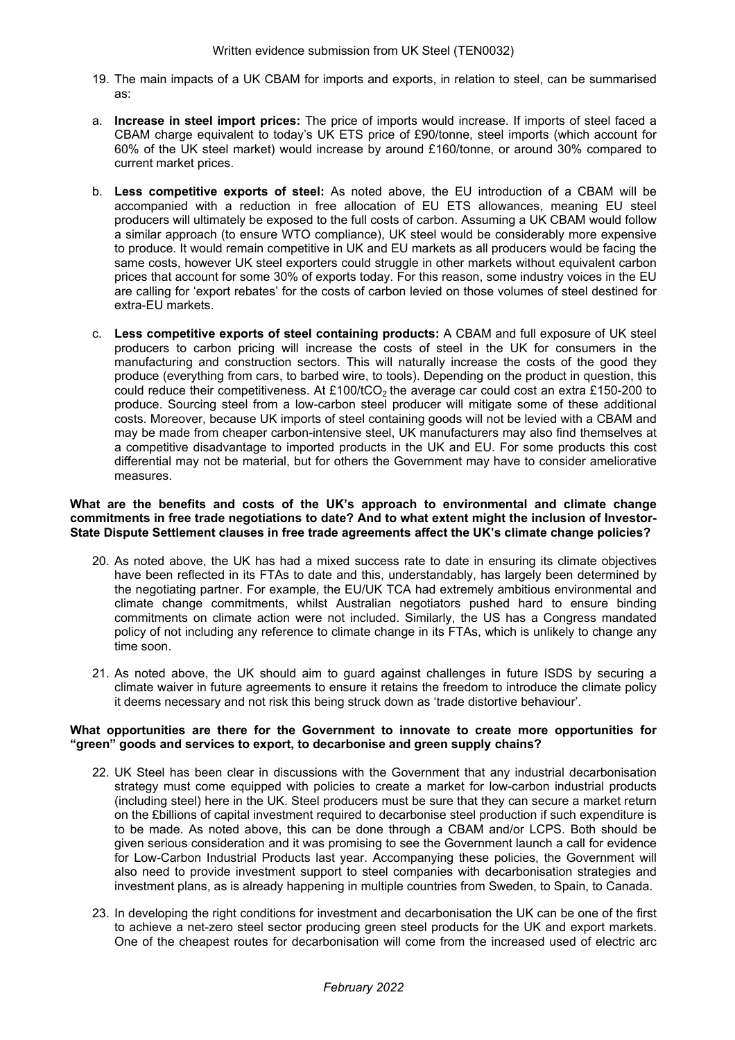- 19. The main impacts of a UK CBAM for imports and exports, in relation to steel, can be summarised as:
- a. **Increase in steel import prices:** The price of imports would increase. If imports of steel faced a CBAM charge equivalent to today's UK ETS price of £90/tonne, steel imports (which account for 60% of the UK steel market) would increase by around £160/tonne, or around 30% compared to current market prices.
- b. **Less competitive exports of steel:** As noted above, the EU introduction of a CBAM will be accompanied with a reduction in free allocation of EU ETS allowances, meaning EU steel producers will ultimately be exposed to the full costs of carbon. Assuming a UK CBAM would follow a similar approach (to ensure WTO compliance), UK steel would be considerably more expensive to produce. It would remain competitive in UK and EU markets as all producers would be facing the same costs, however UK steel exporters could struggle in other markets without equivalent carbon prices that account for some 30% of exports today. For this reason, some industry voices in the EU are calling for 'export rebates' for the costs of carbon levied on those volumes of steel destined for extra-EU markets.
- c. **Less competitive exports of steel containing products:** A CBAM and full exposure of UK steel producers to carbon pricing will increase the costs of steel in the UK for consumers in the manufacturing and construction sectors. This will naturally increase the costs of the good they produce (everything from cars, to barbed wire, to tools). Depending on the product in question, this could reduce their competitiveness. At £100/tCO<sub>2</sub> the average car could cost an extra £150-200 to produce. Sourcing steel from a low-carbon steel producer will mitigate some of these additional costs. Moreover, because UK imports of steel containing goods will not be levied with a CBAM and may be made from cheaper carbon-intensive steel, UK manufacturers may also find themselves at a competitive disadvantage to imported products in the UK and EU. For some products this cost differential may not be material, but for others the Government may have to consider ameliorative measures.

#### **What are the benefits and costs of the UK's approach to environmental and climate change commitments in free trade negotiations to date? And to what extent might the inclusion of Investor-State Dispute Settlement clauses in free trade agreements affect the UK's climate change policies?**

- 20. As noted above, the UK has had a mixed success rate to date in ensuring its climate objectives have been reflected in its FTAs to date and this, understandably, has largely been determined by the negotiating partner. For example, the EU/UK TCA had extremely ambitious environmental and climate change commitments, whilst Australian negotiators pushed hard to ensure binding commitments on climate action were not included. Similarly, the US has a Congress mandated policy of not including any reference to climate change in its FTAs, which is unlikely to change any time soon.
- 21. As noted above, the UK should aim to guard against challenges in future ISDS by securing a climate waiver in future agreements to ensure it retains the freedom to introduce the climate policy it deems necessary and not risk this being struck down as 'trade distortive behaviour'.

#### **What opportunities are there for the Government to innovate to create more opportunities for "green" goods and services to export, to decarbonise and green supply chains?**

- 22. UK Steel has been clear in discussions with the Government that any industrial decarbonisation strategy must come equipped with policies to create a market for low-carbon industrial products (including steel) here in the UK. Steel producers must be sure that they can secure a market return on the £billions of capital investment required to decarbonise steel production if such expenditure is to be made. As noted above, this can be done through a CBAM and/or LCPS. Both should be given serious consideration and it was promising to see the Government launch a call for evidence for Low-Carbon Industrial Products last year. Accompanying these policies, the Government will also need to provide investment support to steel companies with decarbonisation strategies and investment plans, as is already happening in multiple countries from Sweden, to Spain, to Canada.
- 23. In developing the right conditions for investment and decarbonisation the UK can be one of the first to achieve a net-zero steel sector producing green steel products for the UK and export markets. One of the cheapest routes for decarbonisation will come from the increased used of electric arc